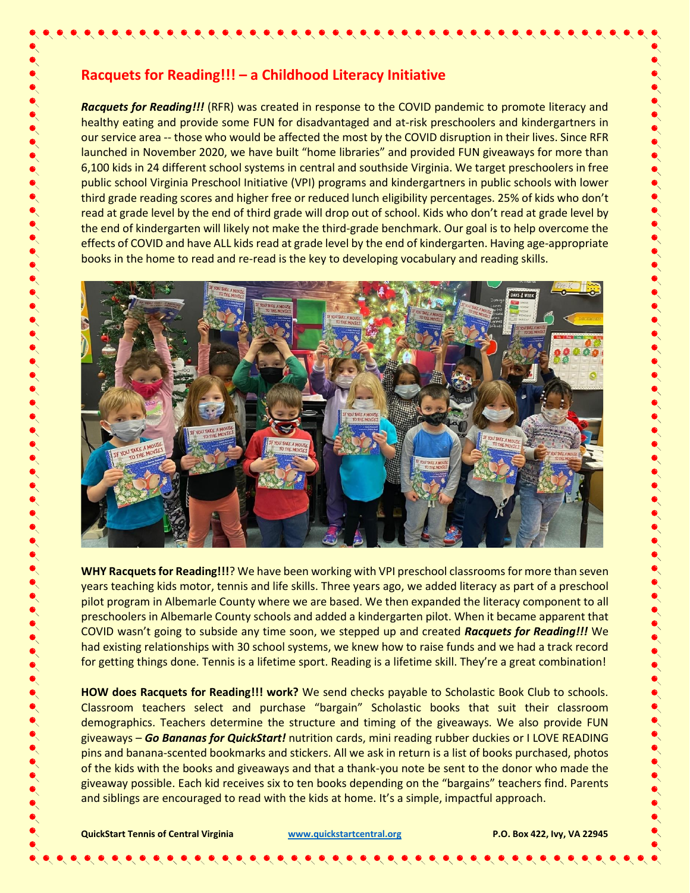## **Racquets for Reading!!! – a Childhood Literacy Initiative**

*Racquets for Reading!!!* (RFR) was created in response to the COVID pandemic to promote literacy and healthy eating and provide some FUN for disadvantaged and at-risk preschoolers and kindergartners in our service area -- those who would be affected the most by the COVID disruption in their lives. Since RFR launched in November 2020, we have built "home libraries" and provided FUN giveaways for more than 6,100 kids in 24 different school systems in central and southside Virginia. We target preschoolers in free public school Virginia Preschool Initiative (VPI) programs and kindergartners in public schools with lower third grade reading scores and higher free or reduced lunch eligibility percentages. 25% of kids who don't read at grade level by the end of third grade will drop out of school. Kids who don't read at grade level by the end of kindergarten will likely not make the third-grade benchmark. Our goal is to help overcome the effects of COVID and have ALL kids read at grade level by the end of kindergarten. Having age-appropriate books in the home to read and re-read is the key to developing vocabulary and reading skills.

 $\bullet\hspace{-0.35cm}\bullet\hspace{-0.35cm}\bullet\hspace{-0.35cm}\bullet\hspace{-0.35cm}\bullet\hspace{-0.35cm}\bullet\hspace{-0.35cm}\bullet\hspace{-0.35cm}\bullet\hspace{-0.35cm}\bullet\hspace{-0.35cm}\bullet\hspace{-0.35cm}\bullet\hspace{-0.35cm}\bullet\hspace{-0.35cm}\bullet\hspace{-0.35cm}\bullet\hspace{-0.35cm}\bullet\hspace{-0.35cm}\bullet\hspace{-0.35cm}\bullet\hspace{-0.35cm}\bullet\hspace{-0.35cm}\bullet\hspace{-0.35cm}\bullet\hspace{-0.35cm$ 



WHY Racquets for Reading!!!? We have been working with VPI preschool classrooms for more than seven years teaching kids motor, tennis and life skills. Three years ago, we added literacy as part of a preschool pilot program in Albemarle County where we are based. We then expanded the literacy component to all preschoolers in Albemarle County schools and added a kindergarten pilot. When it became apparent that COVID wasn't going to subside any time soon, we stepped up and created *Racquets for Reading!!!* We had existing relationships with 30 school systems, we knew how to raise funds and we had a track record for getting things done. Tennis is a lifetime sport. Reading is a lifetime skill. They're a great combination!

**HOW does Racquets for Reading!!! work?** We send checks payable to Scholastic Book Club to schools. Classroom teachers select and purchase "bargain" Scholastic books that suit their classroom demographics. Teachers determine the structure and timing of the giveaways. We also provide FUN giveaways – *Go Bananas for QuickStart!* nutrition cards, mini reading rubber duckies or I LOVE READING pins and banana-scented bookmarks and stickers. All we ask in return is a list of books purchased, photos of the kids with the books and giveaways and that a thank-you note be sent to the donor who made the giveaway possible. Each kid receives six to ten books depending on the "bargains" teachers find. Parents and siblings are encouraged to read with the kids at home. It's a simple, impactful approach.

**QuickStart Tennis of Central Virginia [www.quickstartcentral.org](http://www.quickstartcentral.org/) P.O. Box 422, Ivy, VA 22945**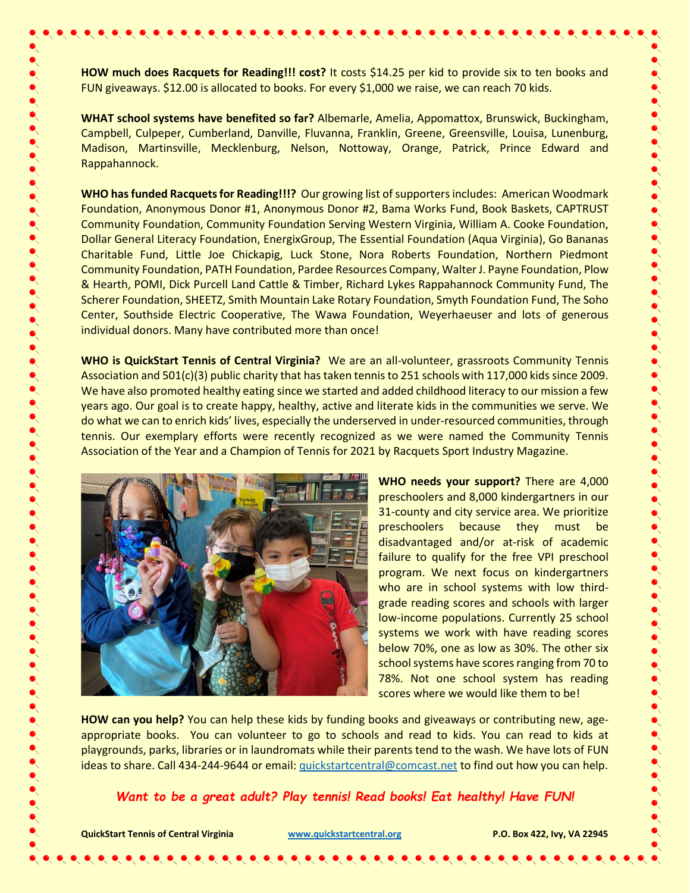**HOW much does Racquets for Reading!!! cost?** It costs \$14.25 per kid to provide six to ten books and FUN giveaways. \$12.00 is allocated to books. For every \$1,000 we raise, we can reach 70 kids.

**WHAT school systems have benefited so far?** Albemarle, Amelia, Appomattox, Brunswick, Buckingham, Campbell, Culpeper, Cumberland, Danville, Fluvanna, Franklin, Greene, Greensville, Louisa, Lunenburg, Madison, Martinsville, Mecklenburg, Nelson, Nottoway, Orange, Patrick, Prince Edward and Rappahannock.

**WHO has funded Racquets for Reading!!!?** Our growing list of supporters includes: American Woodmark Foundation, Anonymous Donor #1, Anonymous Donor #2, Bama Works Fund, Book Baskets, CAPTRUST Community Foundation, Community Foundation Serving Western Virginia, William A. Cooke Foundation, Dollar General Literacy Foundation, EnergixGroup, The Essential Foundation (Aqua Virginia), Go Bananas Charitable Fund, Little Joe Chickapig, Luck Stone, Nora Roberts Foundation, Northern Piedmont Community Foundation, PATH Foundation, Pardee Resources Company, Walter J. Payne Foundation, Plow & Hearth, POMI, Dick Purcell Land Cattle & Timber, Richard Lykes Rappahannock Community Fund, The Scherer Foundation, SHEETZ, Smith Mountain Lake Rotary Foundation, Smyth Foundation Fund, The Soho Center, Southside Electric Cooperative, The Wawa Foundation, Weyerhaeuser and lots of generous individual donors. Many have contributed more than once!

**WHO is QuickStart Tennis of Central Virginia?** We are an all-volunteer, grassroots Community Tennis Association and 501(c)(3) public charity that has taken tennis to 251 schools with 117,000 kids since 2009. We have also promoted healthy eating since we started and added childhood literacy to our mission a few years ago. Our goal is to create happy, healthy, active and literate kids in the communities we serve. We do what we can to enrich kids' lives, especially the underserved in under-resourced communities, through tennis. Our exemplary efforts were recently recognized as we were named the Community Tennis Association of the Year and a Champion of Tennis for 2021 by Racquets Sport Industry Magazine.



**WHO needs your support?** There are 4,000 preschoolers and 8,000 kindergartners in our 31-county and city service area. We prioritize preschoolers because they must be disadvantaged and/or at-risk of academic failure to qualify for the free VPI preschool program. We next focus on kindergartners who are in school systems with low thirdgrade reading scores and schools with larger low-income populations. Currently 25 school systems we work with have reading scores below 70%, one as low as 30%. The other six school systems have scores ranging from 70 to 78%. Not one school system has reading scores where we would like them to be!

**HOW can you help?** You can help these kids by funding books and giveaways or contributing new, ageappropriate books. You can volunteer to go to schools and read to kids. You can read to kids at playgrounds, parks, libraries or in laundromats while their parents tend to the wash. We have lots of FUN ideas to share. Call 434-244-9644 or email[: quickstartcentral@comcast.net](mailto:quickstartcentral@comcast.net) to find out how you can help.

*Want to be a great adult? Play tennis! Read books! Eat healthy! Have FUN!*

**QuickStart Tennis of Central Virginia [www.quickstartcentral.org](http://www.quickstartcentral.org/) P.O. Box 422, Ivy, VA 22945**